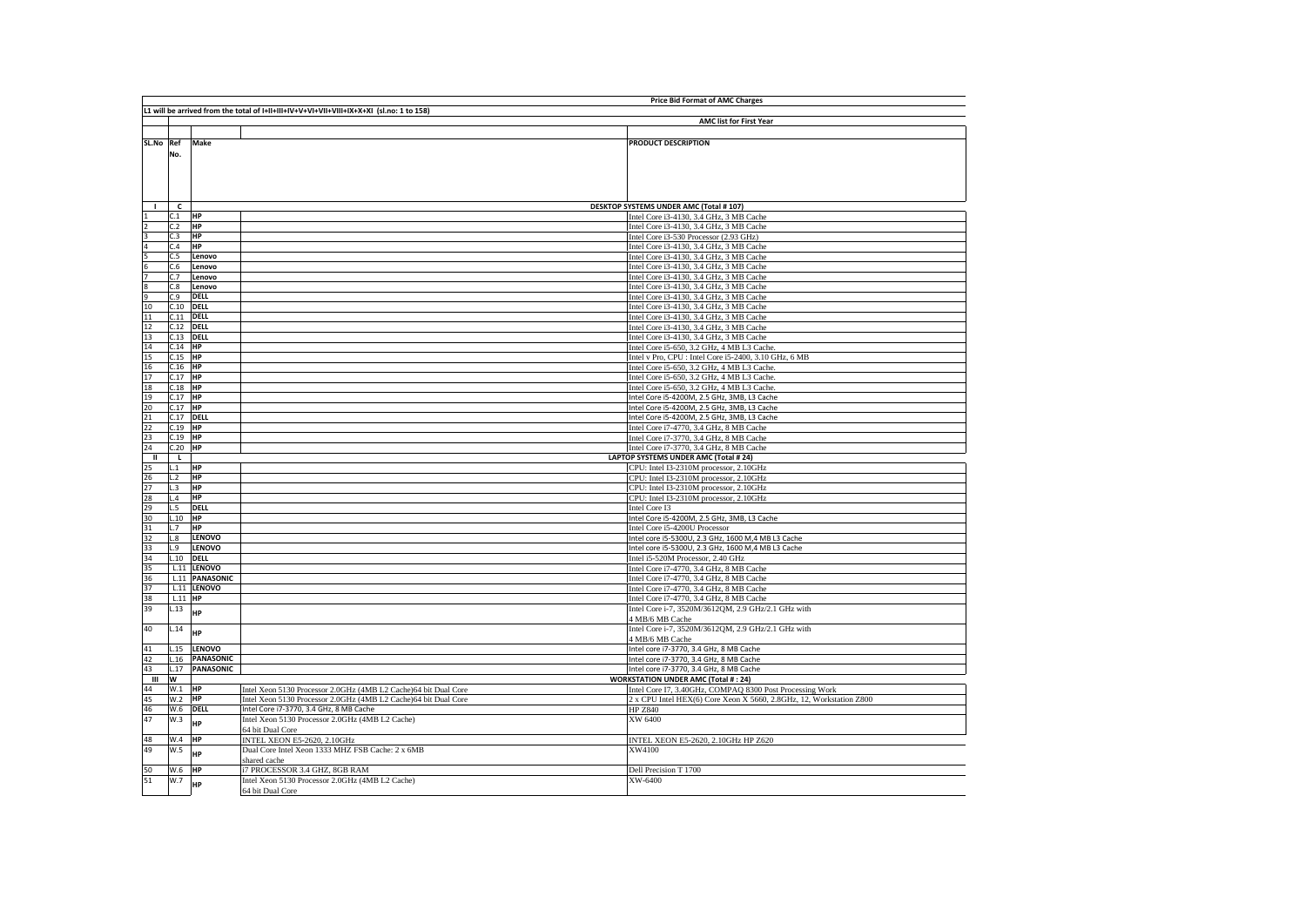|                                                         |             |                          |                                                                                          | <b>Price Bid Format of AMC Charges</b>                                             |
|---------------------------------------------------------|-------------|--------------------------|------------------------------------------------------------------------------------------|------------------------------------------------------------------------------------|
|                                                         |             |                          | L1 will be arrived from the total of I+II+III+IV+V+VI+VII+VIII+IX+X+XI (sl.no: 1 to 158) |                                                                                    |
|                                                         |             |                          |                                                                                          | <b>AMC list for First Year</b>                                                     |
|                                                         |             |                          |                                                                                          |                                                                                    |
| SL.No Ref                                               |             | Make                     |                                                                                          | PRODUCT DESCRIPTION                                                                |
|                                                         | No.         |                          |                                                                                          |                                                                                    |
|                                                         |             |                          |                                                                                          |                                                                                    |
|                                                         |             |                          |                                                                                          |                                                                                    |
|                                                         |             |                          |                                                                                          |                                                                                    |
|                                                         |             |                          |                                                                                          |                                                                                    |
|                                                         |             |                          |                                                                                          |                                                                                    |
|                                                         | c           |                          |                                                                                          | <b>DESKTOP SYSTEMS UNDER AMC (Total # 107)</b>                                     |
|                                                         | C.1<br>C.2  | <b>HP</b>                |                                                                                          | Intel Core i3-4130, 3.4 GHz, 3 MB Cache                                            |
| 3                                                       | C.3         | <b>HP</b><br><b>HP</b>   |                                                                                          | Intel Core i3-4130, 3.4 GHz, 3 MB Cache                                            |
|                                                         | C.4         | HP                       |                                                                                          | Intel Core i3-530 Processor (2.93 GHz)                                             |
|                                                         | C.5         | Lenovo                   |                                                                                          | Intel Core i3-4130, 3.4 GHz, 3 MB Cache                                            |
| $\frac{4}{5}$ $\frac{5}{6}$ $\frac{7}{7}$ $\frac{8}{9}$ | C.6         | Lenovo                   |                                                                                          | Intel Core i3-4130, 3.4 GHz, 3 MB Cache<br>Intel Core i3-4130, 3.4 GHz, 3 MB Cache |
|                                                         | C.7         | Lenovo                   |                                                                                          | Intel Core i3-4130, 3.4 GHz, 3 MB Cache                                            |
|                                                         | C.8         | Lenovo                   |                                                                                          | Intel Core i3-4130, 3.4 GHz, 3 MB Cache                                            |
|                                                         | C.9         | <b>DELL</b>              |                                                                                          | Intel Core i3-4130, 3.4 GHz, 3 MB Cache                                            |
| 10                                                      | C.10        | <b>DELL</b>              |                                                                                          | Intel Core i3-4130, 3.4 GHz, 3 MB Cache                                            |
|                                                         | C.11        | <b>DELL</b>              |                                                                                          | Intel Core i3-4130, 3.4 GHz, 3 MB Cache                                            |
| $\frac{11}{12}$                                         | C.12        | <b>DELL</b>              |                                                                                          | Intel Core i3-4130, 3.4 GHz, 3 MB Cache                                            |
| 13                                                      | C.13        | <b>DELL</b>              |                                                                                          | Intel Core i3-4130, 3.4 GHz, 3 MB Cache                                            |
| 14                                                      | $C.14$ HP   |                          |                                                                                          | Intel Core i5-650, 3.2 GHz, 4 MB L3 Cache.                                         |
| 15                                                      | $C.15$ HP   |                          |                                                                                          | Intel v Pro, CPU : Intel Core i5-2400, 3.10 GHz, 6 MB                              |
| 16                                                      | $C.16$ HP   |                          |                                                                                          | Intel Core i5-650, 3.2 GHz, 4 MB L3 Cache.                                         |
| 17                                                      | C.17 HP     |                          |                                                                                          | Intel Core i5-650, 3.2 GHz, 4 MB L3 Cache.                                         |
|                                                         | $C.18$ HP   |                          |                                                                                          | Intel Core i5-650, 3.2 GHz, 4 MB L3 Cache.                                         |
| $\frac{18}{19}$                                         | $C.17$ HP   |                          |                                                                                          | Intel Core i5-4200M, 2.5 GHz, 3MB, L3 Cache                                        |
|                                                         | C.17 HP     |                          |                                                                                          | Intel Core i5-4200M, 2.5 GHz, 3MB, L3 Cache                                        |
|                                                         | $C.17$ DELL |                          |                                                                                          | Intel Core i5-4200M, 2.5 GHz, 3MB, L3 Cache                                        |
|                                                         | C.19        | HP                       |                                                                                          | Intel Core i7-4770, 3.4 GHz, 8 MB Cache                                            |
| $\frac{20}{21}$<br>$\frac{22}{23}$                      | C.19        | <b>HP</b>                |                                                                                          | Intel Core i7-3770, 3.4 GHz, 8 MB Cache                                            |
| 24                                                      | C.20        | HP                       |                                                                                          | Intel Core i7-3770, 3.4 GHz, 8 MB Cache                                            |
| ш                                                       | L.          |                          |                                                                                          | LAPTOP SYSTEMS UNDER AMC (Total # 24)                                              |
| 25                                                      | L.1         | HP                       |                                                                                          | CPU: Intel I3-2310M processor, 2.10GHz                                             |
|                                                         | L.2         | HP                       |                                                                                          | CPU: Intel I3-2310M processor, 2.10GHz                                             |
|                                                         | L.3         | <b>HP</b>                |                                                                                          | CPU: Intel I3-2310M processor, 2.10GHz                                             |
|                                                         | L.4<br>L.5  | <b>HP</b><br><b>DELL</b> |                                                                                          | CPU: Intel I3-2310M processor, 2.10GHz<br>Intel Core I3                            |
| 26 27 28 29 30 31 32 33 34 35                           | L.10        | <b>HP</b>                |                                                                                          | Intel Core i5-4200M, 2.5 GHz, 3MB, L3 Cache                                        |
|                                                         | L.7         | <b>HP</b>                |                                                                                          | Intel Core i5-4200U Processor                                                      |
|                                                         | L.8         | LENOVO                   |                                                                                          | Intel core i5-5300U, 2.3 GHz, 1600 M,4 MB L3 Cache                                 |
|                                                         | L.9         | LENOVO                   |                                                                                          | Intel core i5-5300U, 2.3 GHz, 1600 M,4 MB L3 Cache                                 |
|                                                         |             | $L.10$ DELL              |                                                                                          | Intel i5-520M Processor, 2.40 GHz                                                  |
|                                                         |             | L.11 LENOVO              |                                                                                          | Intel Core i7-4770, 3.4 GHz, 8 MB Cache                                            |
| 36                                                      |             | L.11 PANASONIC           |                                                                                          | Intel Core i7-4770, 3.4 GHz, 8 MB Cache                                            |
| 37                                                      |             | L.11 LENOVO              |                                                                                          | Intel Core i7-4770, 3.4 GHz, 8 MB Cache                                            |
| 38                                                      | L.11 HP     |                          |                                                                                          | Intel Core i7-4770, 3.4 GHz, 8 MB Cache                                            |
| 39                                                      | L.13        | HP                       |                                                                                          | Intel Core i-7, 3520M/3612QM, 2.9 GHz/2.1 GHz with                                 |
|                                                         |             |                          |                                                                                          | 4 MB/6 MB Cache                                                                    |
| 40                                                      | L.14        | <b>HP</b>                |                                                                                          | Intel Core i-7, 3520M/3612QM, 2.9 GHz/2.1 GHz with                                 |
|                                                         | L.15        | <b>LENOVO</b>            |                                                                                          | 4 MB/6 MB Cache<br>Intel core i7-3770, 3.4 GHz, 8 MB Cache                         |
| 41<br>42                                                | L.16        | <b>PANASONIC</b>         |                                                                                          | Intel core i7-3770, 3.4 GHz, 8 MB Cache                                            |
| 43                                                      | L.17        | <b>PANASONIC</b>         |                                                                                          | Intel core i7-3770, 3.4 GHz, 8 MB Cache                                            |
| Ш                                                       | W           |                          |                                                                                          | <b>WORKSTATION UNDER AMC (Total #: 24)</b>                                         |
| 44                                                      | W.1         | <b>HP</b>                | Intel Xeon 5130 Processor 2.0GHz (4MB L2 Cache)64 bit Dual Core                          | Intel Core I7, 3.40GHz, COMPAQ 8300 Post Processing Work                           |
| 45                                                      | W.2         | <b>HP</b>                | Intel Xeon 5130 Processor 2.0GHz (4MB L2 Cache)64 bit Dual Core                          | 2 x CPU Intel HEX(6) Core Xeon X 5660, 2.8GHz, 12, Workstation Z800                |
| 46                                                      | W.6         | DELL                     | Intel Core i7-3770, 3.4 GHz, 8 MB Cache                                                  | <b>HP Z840</b>                                                                     |
| 47                                                      | W.3         | <b>HP</b>                | Intel Xeon 5130 Processor 2.0GHz (4MB L2 Cache)                                          | XW 6400                                                                            |
|                                                         |             |                          | 64 bit Dual Core                                                                         |                                                                                    |
| 48                                                      | W.4         | HP                       | <b>INTEL XEON E5-2620, 2.10GHz</b>                                                       | INTEL XEON E5-2620, 2.10GHz HP Z620                                                |
| 49                                                      | W.5         | HP                       | Dual Core Intel Xeon 1333 MHZ FSB Cache: 2 x 6MB                                         | XW4100                                                                             |
|                                                         |             |                          | shared cache                                                                             |                                                                                    |
| 50                                                      | W.6         | <b>HP</b>                | i7 PROCESSOR 3.4 GHZ, 8GB RAM                                                            | Dell Precision T 1700                                                              |
| 51                                                      | W.7         | HP                       | Intel Xeon 5130 Processor 2.0GHz (4MB L2 Cache)                                          | XW-6400                                                                            |
|                                                         |             |                          | 64 bit Dual Core                                                                         |                                                                                    |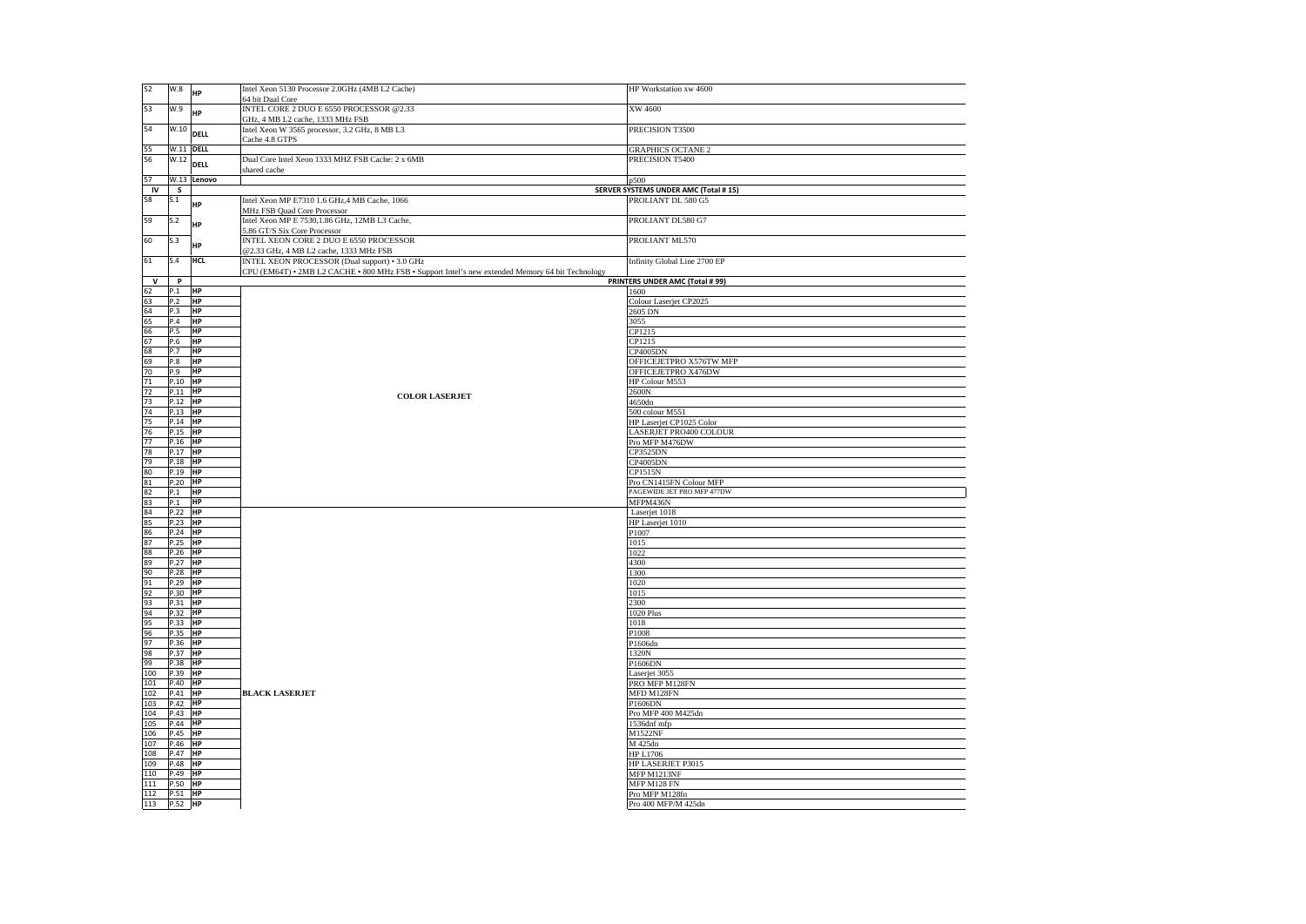| 52           | W.8              | HP          | Intel Xeon 5130 Processor 2.0GHz (4MB L2 Cache)<br>64 bit Dual Core                              | HP Workstation xw 4600                |
|--------------|------------------|-------------|--------------------------------------------------------------------------------------------------|---------------------------------------|
| 53           | W.9              | HP          | INTEL CORE 2 DUO E 6550 PROCESSOR @2.33                                                          | XW 4600                               |
| 54           | W.10             | <b>DELL</b> | GHz, 4 MB L2 cache, 1333 MHz FSB<br>Intel Xeon W 3565 processor, 3.2 GHz, 8 MB L3                | PRECISION T3500                       |
|              |                  |             | Cache 4.8 GTPS                                                                                   |                                       |
| 55           | <b>W.11 DELL</b> |             |                                                                                                  | <b>GRAPHICS OCTANE 2</b>              |
| 56           | W.12             | DELL        | Dual Core Intel Xeon 1333 MHZ FSB Cache: 2 x 6MB<br>shared cache                                 | PRECISION T5400                       |
| 57           | W.13             | Lenovo      |                                                                                                  | p500                                  |
| IV           | $\mathsf{s}$     |             |                                                                                                  | SERVER SYSTEMS UNDER AMC (Total # 15) |
| 58           | S.1              | HP          | Intel Xeon MP E7310 1.6 GHz, 4 MB Cache, 1066                                                    | PROLIANT DL 580 G5                    |
|              |                  |             | MHz FSB Quad Core Processor                                                                      |                                       |
| 59           | S.2              | HP          | Intel Xeon MP E 7530,1.86 GHz, 12MB L3 Cache,<br>5.86 GT/S Six Core Processor                    | PROLIANT DL580 G7                     |
| 60           | S.3              | HP          | INTEL XEON CORE 2 DUO E 6550 PROCESSOR                                                           | PROLIANT ML570                        |
| 61           | S.4              | <b>HCL</b>  | @2.33 GHz, 4 MB L2 cache, 1333 MHz FSB<br>INTEL XEON PROCESSOR (Dual support) • 3.0 GHz          | Infinity Global Line 2700 EP          |
|              |                  |             | CPU (EM64T) . 2MB L2 CACHE . 800 MHz FSB . Support Intel's new extended Memory 64 bit Technology |                                       |
| $\mathsf{v}$ | $\mathbf{P}$     |             |                                                                                                  | PRINTERS UNDER AMC (Total # 99)       |
| 62           | P.1              | HP          |                                                                                                  | 1600                                  |
| 63           | P.2              | HP          |                                                                                                  | Colour Laserjet CP2025                |
| 64           | P.3              | HP          |                                                                                                  | 2605 DN                               |
| 65           | P.4              | <b>HP</b>   |                                                                                                  | 3055                                  |
| 66           | P.5              | <b>HP</b>   |                                                                                                  | CP1215                                |
| 67           | P.6              | HP          |                                                                                                  | CP1215                                |
| 68           | P.7              | HP          |                                                                                                  | <b>CP4005DN</b>                       |
| 69           | P.8              | HP          |                                                                                                  | OFFICEJETPRO X576TW MFP               |
| 70           | P.9              | <b>HP</b>   |                                                                                                  | OFFICEJETPRO X476DW                   |
| 71           | P.10 HP          |             |                                                                                                  | HP Colour M553                        |
| 72           | P.11 HP          |             | <b>COLOR LASERJET</b>                                                                            | 2600N                                 |
| 73           | $P.12$ HP        |             |                                                                                                  | 4650dn                                |
| 74           | P.13 HP          |             |                                                                                                  | 500 colour M551                       |
| 75           | P.14 HP          |             |                                                                                                  | HP Laserjet CP1025 Color              |
| 76           | P.15 HP          |             |                                                                                                  | LASERJET PRO400 COLOUR                |
| 77           | P.16 HP          |             |                                                                                                  | Pro MFP M476DW                        |
| 78           | P.17 HP          |             |                                                                                                  | <b>CP3525DN</b>                       |
| 79           | P.18 HP          |             |                                                                                                  | <b>CP4005DN</b>                       |
| 80           | P.19             | HP          |                                                                                                  | CP1515N                               |
| 81           | P.20             | <b>HP</b>   |                                                                                                  | Pro CN1415FN Colour MFP               |
| 82           | P.1              | <b>HP</b>   |                                                                                                  | PAGEWIDE JET PRO MFP 477DW            |
| 83           | P.1              | HP          |                                                                                                  | MFPM436N                              |
| 84           | P.22 HP          |             |                                                                                                  | Laserjet 1018                         |
| 85           | P.23 HP          |             |                                                                                                  | HP Laserjet 1010                      |
| 86           | P.24 HP          |             |                                                                                                  | P1007                                 |
| 87           | P.25 HP          |             |                                                                                                  | 1015                                  |
| 88           | $P.26$ HP        |             |                                                                                                  | 1022                                  |
| 89           | P.27 HP          |             |                                                                                                  | 4300                                  |
| 90           | P.28 HP          |             |                                                                                                  | 1300                                  |
| 91           | P.29 HP          |             |                                                                                                  | 1020                                  |
| 92           | P.30 HP          |             |                                                                                                  | 1015                                  |
| 93           | P.31 HP          |             |                                                                                                  | 2300                                  |
| 94           | P.32 HP          |             |                                                                                                  | <b>1020 Plus</b>                      |
| 95           | $P.33$ HP        |             |                                                                                                  | 1018                                  |
| 96           | P.35 HP          |             |                                                                                                  | P1008                                 |
| 97           | P.36 HP          |             |                                                                                                  | P1606dn                               |
| 98           | P.37 HP          |             |                                                                                                  | 1320N                                 |
| 99           | P.38 HP          |             |                                                                                                  | P1606DN                               |
| 100          | P.39 HP          |             |                                                                                                  | Laserjet 3055                         |
| 101          | P.40 HP          |             |                                                                                                  | PRO MFP M128FN                        |
| 102          | $P.41$ HP        |             | <b>BLACK LASERJET</b>                                                                            | MFD M128FN                            |
| 103          | P.42 HP          |             |                                                                                                  | P1606DN                               |
| 104          | P.43 HP          |             |                                                                                                  | Pro MFP 400 M425dn                    |
| 105          | P.44 HP          |             |                                                                                                  | 1536dnf mfp                           |
| 106          | P.45 HP          |             |                                                                                                  | M1522NF                               |
| 107          | P.46             | HP          |                                                                                                  | M 425dn                               |
| 108          | P.47             | HP          |                                                                                                  | <b>HP L1706</b>                       |
| 109          | P.48             | <b>HP</b>   |                                                                                                  | HP LASERJET P3015                     |
| 110          | P.49             | <b>HP</b>   |                                                                                                  | MFP M1213NF                           |
| 111          | P.50             | HP          |                                                                                                  | MFP M128 FN                           |
| 112          | P.51 HP          |             |                                                                                                  | Pro MFP M128fn                        |
| 113          | P.52 HP          |             |                                                                                                  | Pro 400 MFP/M 425dn                   |
|              |                  |             |                                                                                                  |                                       |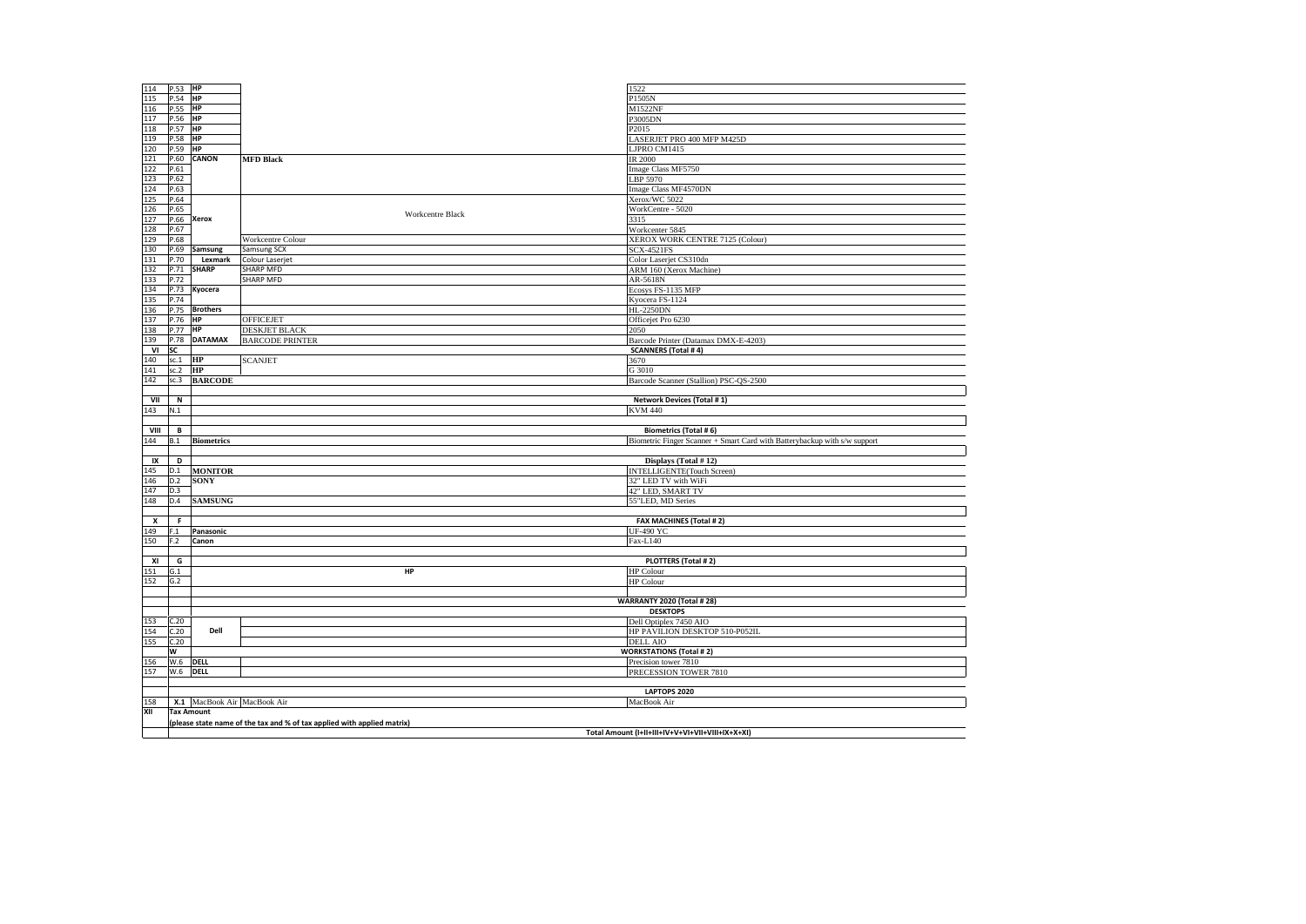| 114  | P.53 HP     |                             |                                                                         | 1522                                                                      |
|------|-------------|-----------------------------|-------------------------------------------------------------------------|---------------------------------------------------------------------------|
| 115  | P.54        | <b>HP</b>                   |                                                                         | P1505N                                                                    |
| 116  | P.55        | HP                          |                                                                         | M1522NF                                                                   |
| 117  | P.56 HP     |                             |                                                                         | P3005DN                                                                   |
| 118  | P.57 HP     |                             |                                                                         | P2015                                                                     |
|      |             |                             |                                                                         |                                                                           |
| 119  | P.58        | HP                          |                                                                         | LASERJET PRO 400 MFP M425D                                                |
| 120  | P.59        | <b>HP</b>                   |                                                                         | LJPRO CM1415                                                              |
| 121  | P.60        | <b>CANON</b>                | <b>MFD Black</b>                                                        | <b>IR 2000</b>                                                            |
| 122  | P.61        |                             |                                                                         | Image Class MF5750                                                        |
| 123  | P.62        |                             |                                                                         | LBP 5970                                                                  |
| 124  | P.63        |                             |                                                                         | Image Class MF4570DN                                                      |
| 125  | P.64        |                             |                                                                         | Xerox/WC 5022                                                             |
| 126  | P.65        |                             |                                                                         | WorkCentre - 5020                                                         |
|      |             |                             | <b>Workcentre Black</b>                                                 |                                                                           |
| 127  | P.66        | <b>Xerox</b>                |                                                                         | 3315                                                                      |
| 128  | P.67        |                             |                                                                         | Workcenter 5845                                                           |
| 129  | P.68        |                             | Workcentre Colour                                                       | XEROX WORK CENTRE 7125 (Colour)                                           |
| 130  | P.69        | Samsung                     | Samsung SCX                                                             | <b>SCX-4521FS</b>                                                         |
| 131  | P.70        | Lexmark                     | Colour Laserjet                                                         | Color Laserjet CS310dn                                                    |
| 132  | P.71        | <b>SHARP</b>                | <b>SHARP MFD</b>                                                        | ARM 160 (Xerox Machine)                                                   |
| 133  | P.72        |                             | <b>SHARP MFD</b>                                                        | AR-5618N                                                                  |
| 134  | P.73        | Kyocera                     |                                                                         | Ecosys FS-1135 MFP                                                        |
| 135  | P.74        |                             |                                                                         | Kyocera FS-1124                                                           |
| 136  | P.75        | <b>Brothers</b>             |                                                                         | <b>HL-2250DN</b>                                                          |
| 137  | P.76        | HP                          | <b>OFFICEJET</b>                                                        | Officejet Pro 6230                                                        |
|      |             |                             |                                                                         |                                                                           |
| 138  | P.77        | <b>HP</b>                   | <b>DESKJET BLACK</b>                                                    | 2050                                                                      |
| 139  | P.78        | <b>DATAMAX</b>              | <b>BARCODE PRINTER</b>                                                  | Barcode Printer (Datamax DMX-E-4203)                                      |
| VI   | SC          |                             |                                                                         | <b>SCANNERS</b> (Total #4)                                                |
| 140  | sc.1        | <b>HP</b>                   | <b>SCANJET</b>                                                          | 3670                                                                      |
| 141  | sc.2        | <b>HP</b>                   |                                                                         | G 3010                                                                    |
| 142  | sc.3        | <b>BARCODE</b>              |                                                                         | Barcode Scanner (Stallion) PSC-QS-2500                                    |
|      |             |                             |                                                                         |                                                                           |
| VII  | $\mathbf N$ |                             |                                                                         | Network Devices (Total #1)                                                |
| 143  | N.1         |                             |                                                                         | <b>KVM 440</b>                                                            |
|      |             |                             |                                                                         |                                                                           |
| VIII | B           |                             |                                                                         | <b>Biometrics (Total #6)</b>                                              |
| 144  | B.1         | <b>Biometrics</b>           |                                                                         | Biometric Finger Scanner + Smart Card with Batterybackup with s/w support |
|      |             |                             |                                                                         |                                                                           |
| IX   | D           |                             |                                                                         | Displays (Total #12)                                                      |
| 145  | D.1         | <b>MONITOR</b>              |                                                                         | INTELLIGENTE(Touch Screen)                                                |
|      |             |                             |                                                                         |                                                                           |
| 146  | D.2         | <b>SONY</b>                 |                                                                         | 32" LED TV with WiFi                                                      |
| 147  | D.3         |                             |                                                                         | 42" LED, SMART TV                                                         |
| 148  | D.4         | <b>SAMSUNG</b>              |                                                                         | 55"LED, MD Series                                                         |
|      |             |                             |                                                                         |                                                                           |
| x    | F.          |                             |                                                                         | FAX MACHINES (Total #2)                                                   |
| 149  | F.1         | Panasonic                   |                                                                         | <b>UF-490 YC</b>                                                          |
| 150  | F.2         | Canon                       |                                                                         | Fax-L140                                                                  |
|      |             |                             |                                                                         |                                                                           |
| XI   | G           |                             |                                                                         | <b>PLOTTERS (Total #2)</b>                                                |
| 151  | G.1         |                             | HP                                                                      | HP Colour                                                                 |
| 152  | G.2         |                             |                                                                         | <b>HP Colour</b>                                                          |
|      |             |                             |                                                                         |                                                                           |
|      |             |                             |                                                                         | <b>WARRANTY 2020 (Total # 28)</b>                                         |
|      |             |                             |                                                                         | <b>DESKTOPS</b>                                                           |
| 153  | C.20        |                             |                                                                         | Dell Optiplex 7450 AIO                                                    |
| 154  | C.20        | Dell                        |                                                                         |                                                                           |
|      |             |                             |                                                                         | HP PAVILION DESKTOP 510-P052IL                                            |
| 155  | C.20        |                             |                                                                         | <b>DELL AIO</b>                                                           |
|      | W           |                             |                                                                         | <b>WORKSTATIONS (Total #2)</b>                                            |
| 156  | W.6 DELL    |                             |                                                                         | Precision tower 7810                                                      |
| 157  | W.6 DELL    |                             |                                                                         | PRECESSION TOWER 7810                                                     |
|      |             |                             |                                                                         |                                                                           |
|      |             |                             |                                                                         | <b>LAPTOPS 2020</b>                                                       |
| 158  |             | X.1 MacBook Air MacBook Air |                                                                         | MacBook Air                                                               |
| XII  |             | <b>Tax Amount</b>           |                                                                         |                                                                           |
|      |             |                             | (please state name of the tax and % of tax applied with applied matrix) |                                                                           |
|      |             |                             |                                                                         | Total Amount (I+II+III+IV+V+VI+VII+VIII+IX+X+XI)                          |
|      |             |                             |                                                                         |                                                                           |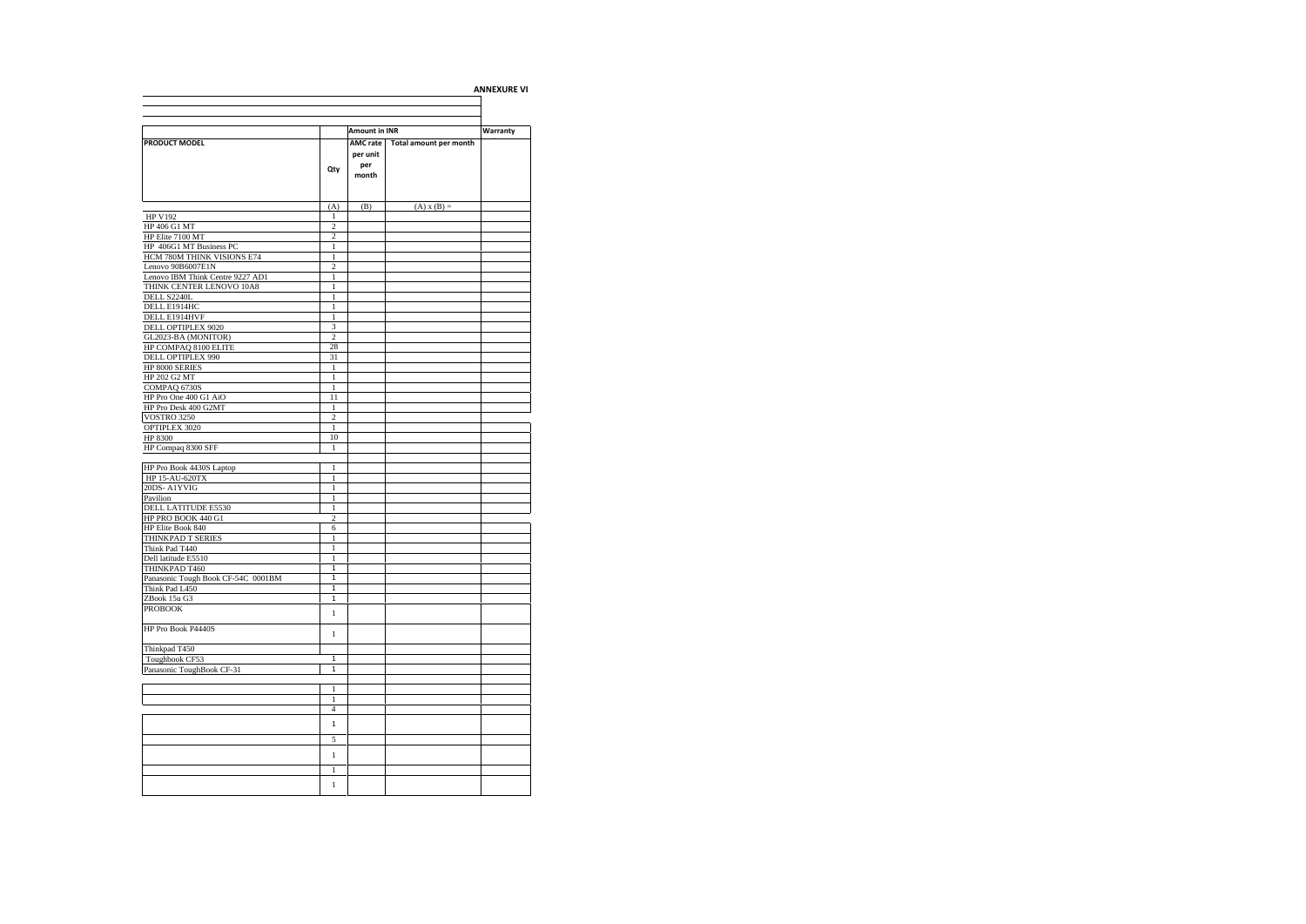|                                                       |                              |                                      |                        | <b>ANNEXURE VI</b> |
|-------------------------------------------------------|------------------------------|--------------------------------------|------------------------|--------------------|
|                                                       |                              |                                      |                        |                    |
|                                                       |                              | Amount in INR                        |                        | Warranty           |
| PRODUCT MODEL                                         | Qty                          | AMC rate<br>per unit<br>per<br>month | Total amount per month |                    |
|                                                       | (A)                          | (B)                                  | $(A) x (B) =$          |                    |
| <b>HP V192</b>                                        | 1                            |                                      |                        |                    |
| HP 406 G1 MT                                          | $\overline{2}$               |                                      |                        |                    |
| HP Elite 7100 MT                                      | 2                            |                                      |                        |                    |
| HP 406G1 MT Business PC<br>HCM 780M THINK VISIONS E74 | $\mathbf{1}$<br>$\mathbf{1}$ |                                      |                        |                    |
| Lenovo 90B6007E1N                                     | $\overline{a}$               |                                      |                        |                    |
| Lenovo IBM Think Centre 9227 AD1                      | $\mathbf{1}$                 |                                      |                        |                    |
| THINK CENTER LENOVO 10A8                              | $\mathbf{1}$                 |                                      |                        |                    |
| DELL S2240L                                           | $\mathbf{1}$                 |                                      |                        |                    |
| DELL E1914HC                                          | 1                            |                                      |                        |                    |
| DELL E1914HVF                                         | 1                            |                                      |                        |                    |
| DELL OPTIPLEX 9020                                    | 3                            |                                      |                        |                    |
| GL2023-BA (MONITOR)                                   | $\overline{c}$<br>28         |                                      |                        |                    |
| HP COMPAQ 8100 ELITE<br>DELL OPTIPLEX 990             | 31                           |                                      |                        |                    |
| HP 8000 SERIES                                        | $\,$ 1                       |                                      |                        |                    |
| HP 202 G2 MT                                          | $\mathbf{1}$                 |                                      |                        |                    |
| COMPAQ 6730S                                          | $\mathbf{1}$                 |                                      |                        |                    |
| HP Pro One 400 G1 AiO                                 | 11                           |                                      |                        |                    |
| HP Pro Desk 400 G2MT                                  | 1                            |                                      |                        |                    |
| <b>VOSTRO 3250</b>                                    | $\overline{c}$               |                                      |                        |                    |
| OPTIPLEX 3020                                         | $\mathbf{1}$                 |                                      |                        |                    |
| HP 8300                                               | 10<br>$\mathbf{1}$           |                                      |                        |                    |
| HP Compaq 8300 SFF                                    |                              |                                      |                        |                    |
| HP Pro Book 4430S Laptop                              | 1                            |                                      |                        |                    |
| HP 15-AU-620TX                                        | $\mathbf{1}$                 |                                      |                        |                    |
| 20DS-A1YVIG                                           | $\mathbf{1}$                 |                                      |                        |                    |
| Pavilion                                              | 1                            |                                      |                        |                    |
| DELL LATITUDE E5530                                   | 1                            |                                      |                        |                    |
| HP PRO BOOK 440 G1                                    | $\overline{c}$               |                                      |                        |                    |
| HP Elite Book 840                                     | 6<br>$\mathbf{1}$            |                                      |                        |                    |
| THINKPAD T SERIES<br>Think Pad T440                   | $\mathbf{1}$                 |                                      |                        |                    |
| Dell latitude E5510                                   | $\mathbf{1}$                 |                                      |                        |                    |
| THINKPAD T460                                         | 1                            |                                      |                        |                    |
| Panasonic Tough Book CF-54C 0001BM                    | $\overline{1}$               |                                      |                        |                    |
| Think Pad L450                                        | 1                            |                                      |                        |                    |
| ZBook 15u G3                                          | $\mathbf{1}$                 |                                      |                        |                    |
| <b>PROBOOK</b>                                        | $\mathbf{1}$                 |                                      |                        |                    |
| HP Pro Book P4440S                                    | $\mathbf{1}$                 |                                      |                        |                    |
| Thinkpad T450                                         |                              |                                      |                        |                    |
| Toughbook CF53                                        | 1                            |                                      |                        |                    |
| Panasonic ToughBook CF-31                             | $\overline{1}$               |                                      |                        |                    |
|                                                       |                              |                                      |                        |                    |
|                                                       | 1                            |                                      |                        |                    |
|                                                       | $\mathbf{1}$                 |                                      |                        |                    |
|                                                       | $\overline{4}$               |                                      |                        |                    |
|                                                       | $\mathbf{1}$                 |                                      |                        |                    |
|                                                       | 5                            |                                      |                        |                    |
|                                                       | $\mathbf{1}$                 |                                      |                        |                    |
|                                                       |                              |                                      |                        |                    |
|                                                       | $\,1$                        |                                      |                        |                    |
|                                                       | $\mathbf{1}$                 |                                      |                        |                    |
|                                                       |                              |                                      |                        |                    |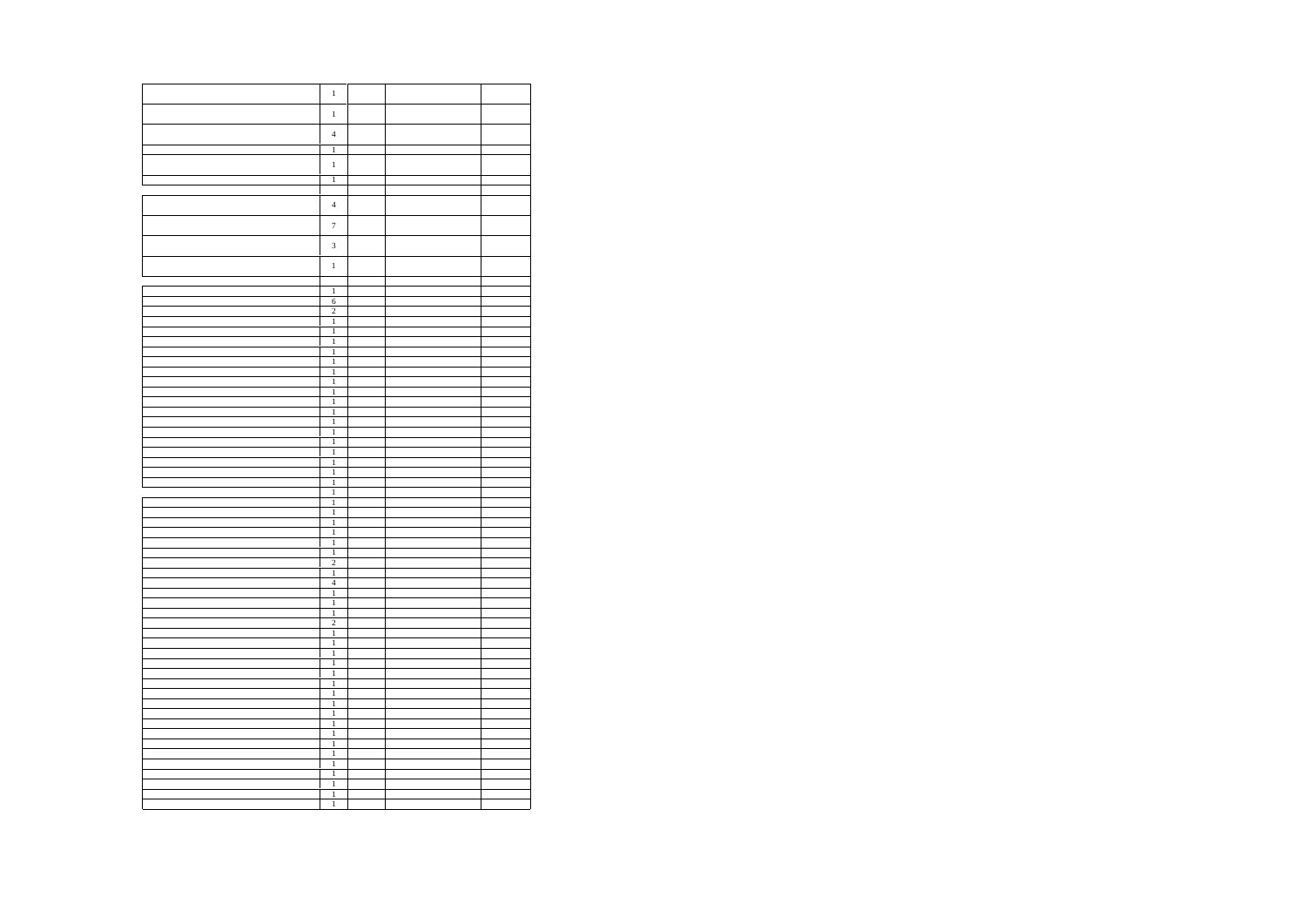| $\mathbf{1}$<br>$\,1$<br>$\overline{4}$<br>$\overline{1}$<br>$\mathbf{1}$<br>$\overline{1}$<br>$\overline{4}$<br>$\boldsymbol{7}$<br>$\overline{\mathbf{3}}$<br>$\,1$<br>$\begin{array}{c}\n1 \\ 6 \\ 2 \\ 1\n\end{array}$<br>$\overline{1}$<br>$\overline{1}$<br>$\overline{1}$<br>$\overline{1}$<br>$\begin{array}{c} 1 \\ 1 \\ 1 \end{array}$<br>$\begin{array}{c} 1 \\ 1 \\ 1 \\ 1 \end{array}$<br>$\frac{1}{1}$<br>$\overline{1}$<br>$\overline{1}$<br>$\overline{1}$<br>$\overline{1}$<br>$\overline{1}$<br>$\overline{1}$<br>$\overline{1}$<br>$\frac{1}{1}$<br>$\begin{array}{c} 1 \\ 2 \\ 1 \\ 4 \\ 1 \end{array}$<br>$\overline{1}$<br>$\frac{1}{2}$<br>$\,$ $\,$<br>$\overline{1}$<br>$\overline{1}$<br>$\overline{1}$<br>$\frac{1}{2}$<br>$\frac{1}{1}$<br>$\mathbf{1}$<br>$\overline{1}$<br>$\overline{1}$<br>$\overline{1}$<br>$\frac{1}{1}$<br>$\mathbf{1}$<br>$\mathbf{1}$<br>$\overline{1}$ |                |  |  |
|--------------------------------------------------------------------------------------------------------------------------------------------------------------------------------------------------------------------------------------------------------------------------------------------------------------------------------------------------------------------------------------------------------------------------------------------------------------------------------------------------------------------------------------------------------------------------------------------------------------------------------------------------------------------------------------------------------------------------------------------------------------------------------------------------------------------------------------------------------------------------------------------------------------|----------------|--|--|
|                                                                                                                                                                                                                                                                                                                                                                                                                                                                                                                                                                                                                                                                                                                                                                                                                                                                                                              |                |  |  |
|                                                                                                                                                                                                                                                                                                                                                                                                                                                                                                                                                                                                                                                                                                                                                                                                                                                                                                              |                |  |  |
|                                                                                                                                                                                                                                                                                                                                                                                                                                                                                                                                                                                                                                                                                                                                                                                                                                                                                                              |                |  |  |
|                                                                                                                                                                                                                                                                                                                                                                                                                                                                                                                                                                                                                                                                                                                                                                                                                                                                                                              |                |  |  |
|                                                                                                                                                                                                                                                                                                                                                                                                                                                                                                                                                                                                                                                                                                                                                                                                                                                                                                              |                |  |  |
|                                                                                                                                                                                                                                                                                                                                                                                                                                                                                                                                                                                                                                                                                                                                                                                                                                                                                                              |                |  |  |
|                                                                                                                                                                                                                                                                                                                                                                                                                                                                                                                                                                                                                                                                                                                                                                                                                                                                                                              |                |  |  |
|                                                                                                                                                                                                                                                                                                                                                                                                                                                                                                                                                                                                                                                                                                                                                                                                                                                                                                              |                |  |  |
|                                                                                                                                                                                                                                                                                                                                                                                                                                                                                                                                                                                                                                                                                                                                                                                                                                                                                                              |                |  |  |
|                                                                                                                                                                                                                                                                                                                                                                                                                                                                                                                                                                                                                                                                                                                                                                                                                                                                                                              |                |  |  |
|                                                                                                                                                                                                                                                                                                                                                                                                                                                                                                                                                                                                                                                                                                                                                                                                                                                                                                              |                |  |  |
|                                                                                                                                                                                                                                                                                                                                                                                                                                                                                                                                                                                                                                                                                                                                                                                                                                                                                                              |                |  |  |
|                                                                                                                                                                                                                                                                                                                                                                                                                                                                                                                                                                                                                                                                                                                                                                                                                                                                                                              |                |  |  |
|                                                                                                                                                                                                                                                                                                                                                                                                                                                                                                                                                                                                                                                                                                                                                                                                                                                                                                              |                |  |  |
|                                                                                                                                                                                                                                                                                                                                                                                                                                                                                                                                                                                                                                                                                                                                                                                                                                                                                                              |                |  |  |
|                                                                                                                                                                                                                                                                                                                                                                                                                                                                                                                                                                                                                                                                                                                                                                                                                                                                                                              |                |  |  |
|                                                                                                                                                                                                                                                                                                                                                                                                                                                                                                                                                                                                                                                                                                                                                                                                                                                                                                              |                |  |  |
|                                                                                                                                                                                                                                                                                                                                                                                                                                                                                                                                                                                                                                                                                                                                                                                                                                                                                                              |                |  |  |
|                                                                                                                                                                                                                                                                                                                                                                                                                                                                                                                                                                                                                                                                                                                                                                                                                                                                                                              |                |  |  |
|                                                                                                                                                                                                                                                                                                                                                                                                                                                                                                                                                                                                                                                                                                                                                                                                                                                                                                              |                |  |  |
|                                                                                                                                                                                                                                                                                                                                                                                                                                                                                                                                                                                                                                                                                                                                                                                                                                                                                                              |                |  |  |
|                                                                                                                                                                                                                                                                                                                                                                                                                                                                                                                                                                                                                                                                                                                                                                                                                                                                                                              |                |  |  |
|                                                                                                                                                                                                                                                                                                                                                                                                                                                                                                                                                                                                                                                                                                                                                                                                                                                                                                              |                |  |  |
|                                                                                                                                                                                                                                                                                                                                                                                                                                                                                                                                                                                                                                                                                                                                                                                                                                                                                                              |                |  |  |
|                                                                                                                                                                                                                                                                                                                                                                                                                                                                                                                                                                                                                                                                                                                                                                                                                                                                                                              |                |  |  |
|                                                                                                                                                                                                                                                                                                                                                                                                                                                                                                                                                                                                                                                                                                                                                                                                                                                                                                              |                |  |  |
|                                                                                                                                                                                                                                                                                                                                                                                                                                                                                                                                                                                                                                                                                                                                                                                                                                                                                                              |                |  |  |
|                                                                                                                                                                                                                                                                                                                                                                                                                                                                                                                                                                                                                                                                                                                                                                                                                                                                                                              |                |  |  |
|                                                                                                                                                                                                                                                                                                                                                                                                                                                                                                                                                                                                                                                                                                                                                                                                                                                                                                              |                |  |  |
|                                                                                                                                                                                                                                                                                                                                                                                                                                                                                                                                                                                                                                                                                                                                                                                                                                                                                                              |                |  |  |
|                                                                                                                                                                                                                                                                                                                                                                                                                                                                                                                                                                                                                                                                                                                                                                                                                                                                                                              |                |  |  |
|                                                                                                                                                                                                                                                                                                                                                                                                                                                                                                                                                                                                                                                                                                                                                                                                                                                                                                              |                |  |  |
|                                                                                                                                                                                                                                                                                                                                                                                                                                                                                                                                                                                                                                                                                                                                                                                                                                                                                                              |                |  |  |
|                                                                                                                                                                                                                                                                                                                                                                                                                                                                                                                                                                                                                                                                                                                                                                                                                                                                                                              |                |  |  |
|                                                                                                                                                                                                                                                                                                                                                                                                                                                                                                                                                                                                                                                                                                                                                                                                                                                                                                              |                |  |  |
|                                                                                                                                                                                                                                                                                                                                                                                                                                                                                                                                                                                                                                                                                                                                                                                                                                                                                                              |                |  |  |
|                                                                                                                                                                                                                                                                                                                                                                                                                                                                                                                                                                                                                                                                                                                                                                                                                                                                                                              |                |  |  |
|                                                                                                                                                                                                                                                                                                                                                                                                                                                                                                                                                                                                                                                                                                                                                                                                                                                                                                              |                |  |  |
|                                                                                                                                                                                                                                                                                                                                                                                                                                                                                                                                                                                                                                                                                                                                                                                                                                                                                                              |                |  |  |
|                                                                                                                                                                                                                                                                                                                                                                                                                                                                                                                                                                                                                                                                                                                                                                                                                                                                                                              |                |  |  |
|                                                                                                                                                                                                                                                                                                                                                                                                                                                                                                                                                                                                                                                                                                                                                                                                                                                                                                              |                |  |  |
|                                                                                                                                                                                                                                                                                                                                                                                                                                                                                                                                                                                                                                                                                                                                                                                                                                                                                                              |                |  |  |
|                                                                                                                                                                                                                                                                                                                                                                                                                                                                                                                                                                                                                                                                                                                                                                                                                                                                                                              |                |  |  |
|                                                                                                                                                                                                                                                                                                                                                                                                                                                                                                                                                                                                                                                                                                                                                                                                                                                                                                              |                |  |  |
|                                                                                                                                                                                                                                                                                                                                                                                                                                                                                                                                                                                                                                                                                                                                                                                                                                                                                                              |                |  |  |
|                                                                                                                                                                                                                                                                                                                                                                                                                                                                                                                                                                                                                                                                                                                                                                                                                                                                                                              |                |  |  |
|                                                                                                                                                                                                                                                                                                                                                                                                                                                                                                                                                                                                                                                                                                                                                                                                                                                                                                              |                |  |  |
|                                                                                                                                                                                                                                                                                                                                                                                                                                                                                                                                                                                                                                                                                                                                                                                                                                                                                                              |                |  |  |
|                                                                                                                                                                                                                                                                                                                                                                                                                                                                                                                                                                                                                                                                                                                                                                                                                                                                                                              |                |  |  |
|                                                                                                                                                                                                                                                                                                                                                                                                                                                                                                                                                                                                                                                                                                                                                                                                                                                                                                              |                |  |  |
|                                                                                                                                                                                                                                                                                                                                                                                                                                                                                                                                                                                                                                                                                                                                                                                                                                                                                                              |                |  |  |
|                                                                                                                                                                                                                                                                                                                                                                                                                                                                                                                                                                                                                                                                                                                                                                                                                                                                                                              |                |  |  |
|                                                                                                                                                                                                                                                                                                                                                                                                                                                                                                                                                                                                                                                                                                                                                                                                                                                                                                              |                |  |  |
|                                                                                                                                                                                                                                                                                                                                                                                                                                                                                                                                                                                                                                                                                                                                                                                                                                                                                                              |                |  |  |
|                                                                                                                                                                                                                                                                                                                                                                                                                                                                                                                                                                                                                                                                                                                                                                                                                                                                                                              |                |  |  |
|                                                                                                                                                                                                                                                                                                                                                                                                                                                                                                                                                                                                                                                                                                                                                                                                                                                                                                              |                |  |  |
|                                                                                                                                                                                                                                                                                                                                                                                                                                                                                                                                                                                                                                                                                                                                                                                                                                                                                                              |                |  |  |
|                                                                                                                                                                                                                                                                                                                                                                                                                                                                                                                                                                                                                                                                                                                                                                                                                                                                                                              |                |  |  |
|                                                                                                                                                                                                                                                                                                                                                                                                                                                                                                                                                                                                                                                                                                                                                                                                                                                                                                              |                |  |  |
|                                                                                                                                                                                                                                                                                                                                                                                                                                                                                                                                                                                                                                                                                                                                                                                                                                                                                                              |                |  |  |
|                                                                                                                                                                                                                                                                                                                                                                                                                                                                                                                                                                                                                                                                                                                                                                                                                                                                                                              |                |  |  |
|                                                                                                                                                                                                                                                                                                                                                                                                                                                                                                                                                                                                                                                                                                                                                                                                                                                                                                              | $\overline{1}$ |  |  |